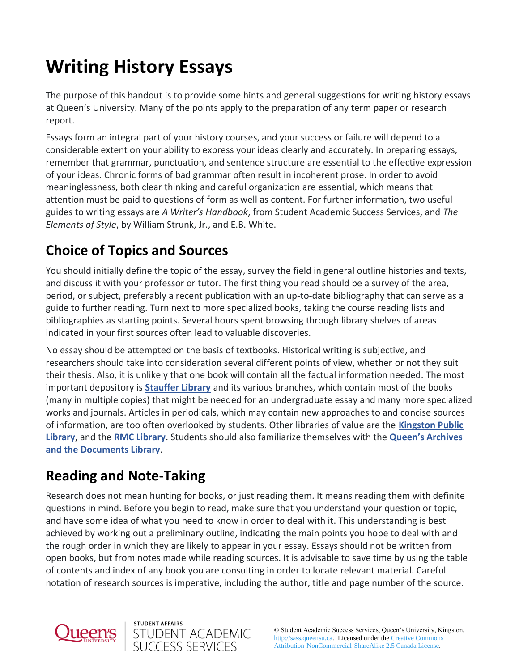# **Writing History Essays**

The purpose of this handout is to provide some hints and general suggestions for writing history essays at Queen's University. Many of the points apply to the preparation of any term paper or research report.

Essays form an integral part of your history courses, and your success or failure will depend to a considerable extent on your ability to express your ideas clearly and accurately. In preparing essays, remember that grammar, punctuation, and sentence structure are essential to the effective expression of your ideas. Chronic forms of bad grammar often result in incoherent prose. In order to avoid meaninglessness, both clear thinking and careful organization are essential, which means that attention must be paid to questions of form as well as content. For further information, two useful guides to writing essays are *A Writer's Handbook*, from Student Academic Success Services, and *The Elements of Style*, by William Strunk, Jr., and E.B. White.

# **Choice of Topics and Sources**

You should initially define the topic of the essay, survey the field in general outline histories and texts, and discuss it with your professor or tutor. The first thing you read should be a survey of the area, period, or subject, preferably a recent publication with an up-to-date bibliography that can serve as a guide to further reading. Turn next to more specialized books, taking the course reading lists and bibliographies as starting points. Several hours spent browsing through library shelves of areas indicated in your first sources often lead to valuable discoveries.

No essay should be attempted on the basis of textbooks. Historical writing is subjective, and researchers should take into consideration several different points of view, whether or not they suit their thesis. Also, it is unlikely that one book will contain all the factual information needed. The most important depository is **[Stauffer Library](https://library.queensu.ca/locations/stauffer-library)** and its various branches, which contain most of the books (many in multiple copies) that might be needed for an undergraduate essay and many more specialized works and journals. Articles in periodicals, which may contain new approaches to and concise sources of information, are too often overlooked by students. Other libraries of value are the **[Kingston Public](https://www.kfpl.ca/)  [Library](https://www.kfpl.ca/)**, and the **[RMC Library](https://www.rmc-cmr.ca/en/library/massey-library)**. Students should also familiarize themselves with the **[Queen's Archives](https://library.queensu.ca/locations/university-archives)  [and the Documents Library](https://library.queensu.ca/locations/university-archives)**.

## **Reading and Note-Taking**

STUDENT AFFAIRS

STUDENT ACADEMIC<br>SUCCESS SERVICES

Research does not mean hunting for books, or just reading them. It means reading them with definite questions in mind. Before you begin to read, make sure that you understand your question or topic, and have some idea of what you need to know in order to deal with it. This understanding is best achieved by working out a preliminary outline, indicating the main points you hope to deal with and the rough order in which they are likely to appear in your essay. Essays should not be written from open books, but from notes made while reading sources. It is advisable to save time by using the table of contents and index of any book you are consulting in order to locate relevant material. Careful notation of research sources is imperative, including the author, title and page number of the source.



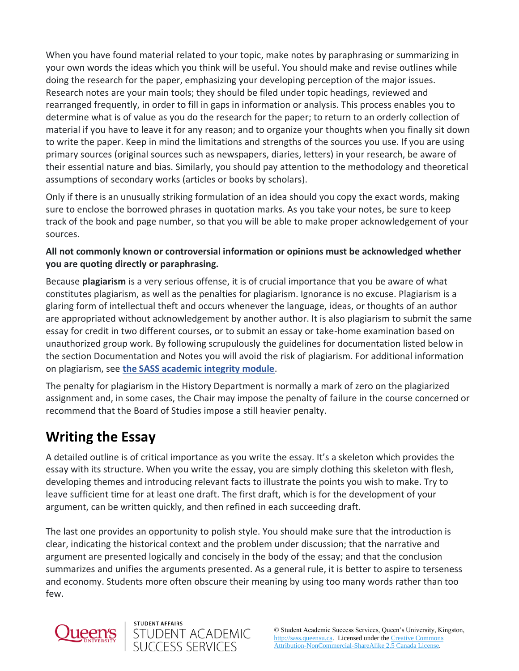When you have found material related to your topic, make notes by paraphrasing or summarizing in your own words the ideas which you think will be useful. You should make and revise outlines while doing the research for the paper, emphasizing your developing perception of the major issues. Research notes are your main tools; they should be filed under topic headings, reviewed and rearranged frequently, in order to fill in gaps in information or analysis. This process enables you to determine what is of value as you do the research for the paper; to return to an orderly collection of material if you have to leave it for any reason; and to organize your thoughts when you finally sit down to write the paper. Keep in mind the limitations and strengths of the sources you use. If you are using primary sources (original sources such as newspapers, diaries, letters) in your research, be aware of their essential nature and bias. Similarly, you should pay attention to the methodology and theoretical assumptions of secondary works (articles or books by scholars).

Only if there is an unusually striking formulation of an idea should you copy the exact words, making sure to enclose the borrowed phrases in quotation marks. As you take your notes, be sure to keep track of the book and page number, so that you will be able to make proper acknowledgement of your sources.

#### **All not commonly known or controversial information or opinions must be acknowledged whether you are quoting directly or paraphrasing.**

Because **plagiarism** is a very serious offense, it is of crucial importance that you be aware of what constitutes plagiarism, as well as the penalties for plagiarism. Ignorance is no excuse. Plagiarism is a glaring form of intellectual theft and occurs whenever the language, ideas, or thoughts of an author are appropriated without acknowledgement by another author. It is also plagiarism to submit the same essay for credit in two different courses, or to submit an essay or take-home examination based on unauthorized group work. By following scrupulously the guidelines for documentation listed below in the section Documentation and Notes you will avoid the risk of plagiarism. For additional information on plagiarism, see **[the SASS academic integrity module](https://wp3-dev.its.queensu.ca/ha/sasswww/resources/academic-integrity)**.

The penalty for plagiarism in the History Department is normally a mark of zero on the plagiarized assignment and, in some cases, the Chair may impose the penalty of failure in the course concerned or recommend that the Board of Studies impose a still heavier penalty.

## **Writing the Essay**

A detailed outline is of critical importance as you write the essay. It's a skeleton which provides the essay with its structure. When you write the essay, you are simply clothing this skeleton with flesh, developing themes and introducing relevant facts to illustrate the points you wish to make. Try to leave sufficient time for at least one draft. The first draft, which is for the development of your argument, can be written quickly, and then refined in each succeeding draft.

The last one provides an opportunity to polish style. You should make sure that the introduction is clear, indicating the historical context and the problem under discussion; that the narrative and argument are presented logically and concisely in the body of the essay; and that the conclusion summarizes and unifies the arguments presented. As a general rule, it is better to aspire to terseness and economy. Students more often obscure their meaning by using too many words rather than too few.



STUDENT AFFAIRS

STUDENT ACADEMIC<br>SUCCESS SERVICES

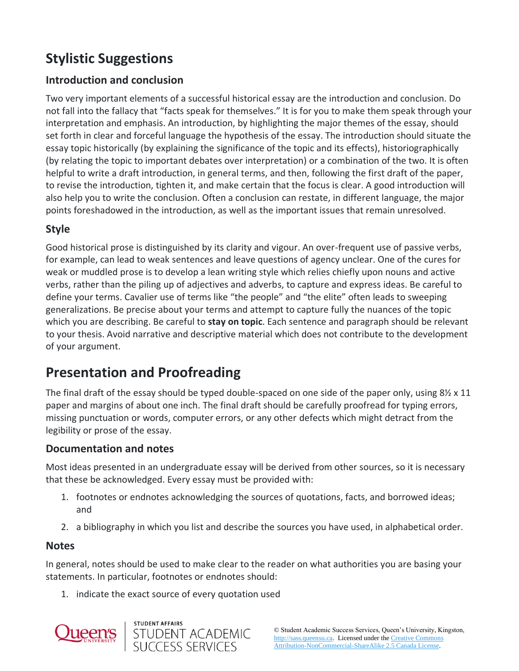# **Stylistic Suggestions**

### **Introduction and conclusion**

Two very important elements of a successful historical essay are the introduction and conclusion. Do not fall into the fallacy that "facts speak for themselves." It is for you to make them speak through your interpretation and emphasis. An introduction, by highlighting the major themes of the essay, should set forth in clear and forceful language the hypothesis of the essay. The introduction should situate the essay topic historically (by explaining the significance of the topic and its effects), historiographically (by relating the topic to important debates over interpretation) or a combination of the two. It is often helpful to write a draft introduction, in general terms, and then, following the first draft of the paper, to revise the introduction, tighten it, and make certain that the focus is clear. A good introduction will also help you to write the conclusion. Often a conclusion can restate, in different language, the major points foreshadowed in the introduction, as well as the important issues that remain unresolved.

### **Style**

Good historical prose is distinguished by its clarity and vigour. An over-frequent use of passive verbs, for example, can lead to weak sentences and leave questions of agency unclear. One of the cures for weak or muddled prose is to develop a lean writing style which relies chiefly upon nouns and active verbs, rather than the piling up of adjectives and adverbs, to capture and express ideas. Be careful to define your terms. Cavalier use of terms like "the people" and "the elite" often leads to sweeping generalizations. Be precise about your terms and attempt to capture fully the nuances of the topic which you are describing. Be careful to **stay on topic**. Each sentence and paragraph should be relevant to your thesis. Avoid narrative and descriptive material which does not contribute to the development of your argument.

## **Presentation and Proofreading**

The final draft of the essay should be typed double-spaced on one side of the paper only, using  $8\frac{1}{2} \times 11$ paper and margins of about one inch. The final draft should be carefully proofread for typing errors, missing punctuation or words, computer errors, or any other defects which might detract from the legibility or prose of the essay.

#### **Documentation and notes**

Most ideas presented in an undergraduate essay will be derived from other sources, so it is necessary that these be acknowledged. Every essay must be provided with:

- 1. footnotes or endnotes acknowledging the sources of quotations, facts, and borrowed ideas; and
- 2. a bibliography in which you list and describe the sources you have used, in alphabetical order.

#### **Notes**

In general, notes should be used to make clear to the reader on what authorities you are basing your statements. In particular, footnotes or endnotes should:

1. indicate the exact source of every quotation used